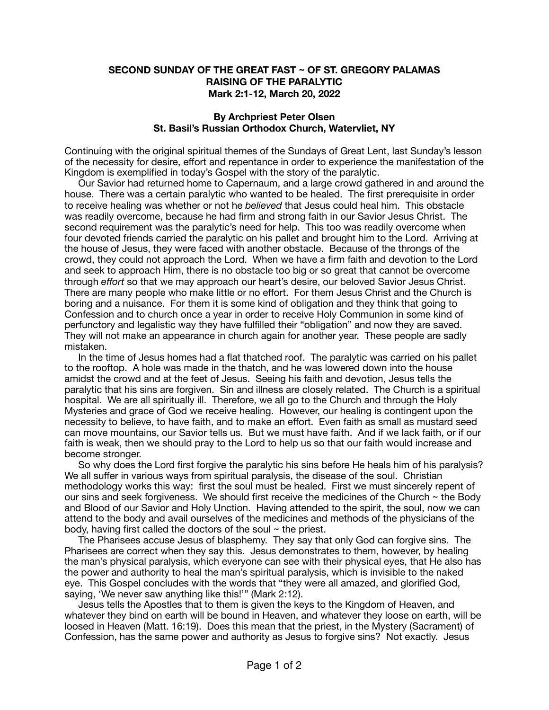## **SECOND SUNDAY OF THE GREAT FAST ~ OF ST. GREGORY PALAMAS RAISING OF THE PARALYTIC Mark 2:1-12, March 20, 2022**

## **By Archpriest Peter Olsen St. Basil's Russian Orthodox Church, Watervliet, NY**

Continuing with the original spiritual themes of the Sundays of Great Lent, last Sunday's lesson of the necessity for desire, effort and repentance in order to experience the manifestation of the Kingdom is exemplified in today's Gospel with the story of the paralytic.

 Our Savior had returned home to Capernaum, and a large crowd gathered in and around the house. There was a certain paralytic who wanted to be healed. The first prerequisite in order to receive healing was whether or not he *believed* that Jesus could heal him. This obstacle was readily overcome, because he had firm and strong faith in our Savior Jesus Christ. The second requirement was the paralytic's need for help. This too was readily overcome when four devoted friends carried the paralytic on his pallet and brought him to the Lord. Arriving at the house of Jesus, they were faced with another obstacle. Because of the throngs of the crowd, they could not approach the Lord. When we have a firm faith and devotion to the Lord and seek to approach Him, there is no obstacle too big or so great that cannot be overcome through *effort* so that we may approach our heart's desire, our beloved Savior Jesus Christ. There are many people who make little or no effort. For them Jesus Christ and the Church is boring and a nuisance. For them it is some kind of obligation and they think that going to Confession and to church once a year in order to receive Holy Communion in some kind of perfunctory and legalistic way they have fulfilled their "obligation" and now they are saved. They will not make an appearance in church again for another year. These people are sadly mistaken.

 In the time of Jesus homes had a flat thatched roof. The paralytic was carried on his pallet to the rooftop. A hole was made in the thatch, and he was lowered down into the house amidst the crowd and at the feet of Jesus. Seeing his faith and devotion, Jesus tells the paralytic that his sins are forgiven. Sin and illness are closely related. The Church is a spiritual hospital. We are all spiritually ill. Therefore, we all go to the Church and through the Holy Mysteries and grace of God we receive healing. However, our healing is contingent upon the necessity to believe, to have faith, and to make an effort. Even faith as small as mustard seed can move mountains, our Savior tells us. But we must have faith. And if we lack faith, or if our faith is weak, then we should pray to the Lord to help us so that our faith would increase and become stronger.

 So why does the Lord first forgive the paralytic his sins before He heals him of his paralysis? We all suffer in various ways from spiritual paralysis, the disease of the soul. Christian methodology works this way: first the soul must be healed. First we must sincerely repent of our sins and seek forgiveness. We should first receive the medicines of the Church  $\sim$  the Body and Blood of our Savior and Holy Unction. Having attended to the spirit, the soul, now we can attend to the body and avail ourselves of the medicines and methods of the physicians of the body, having first called the doctors of the soul  $\sim$  the priest.

 The Pharisees accuse Jesus of blasphemy. They say that only God can forgive sins. The Pharisees are correct when they say this. Jesus demonstrates to them, however, by healing the man's physical paralysis, which everyone can see with their physical eyes, that He also has the power and authority to heal the man's spiritual paralysis, which is invisible to the naked eye. This Gospel concludes with the words that "they were all amazed, and glorified God, saying, 'We never saw anything like this!'" (Mark 2:12).

 Jesus tells the Apostles that to them is given the keys to the Kingdom of Heaven, and whatever they bind on earth will be bound in Heaven, and whatever they loose on earth, will be loosed in Heaven (Matt. 16:19). Does this mean that the priest, in the Mystery (Sacrament) of Confession, has the same power and authority as Jesus to forgive sins? Not exactly. Jesus